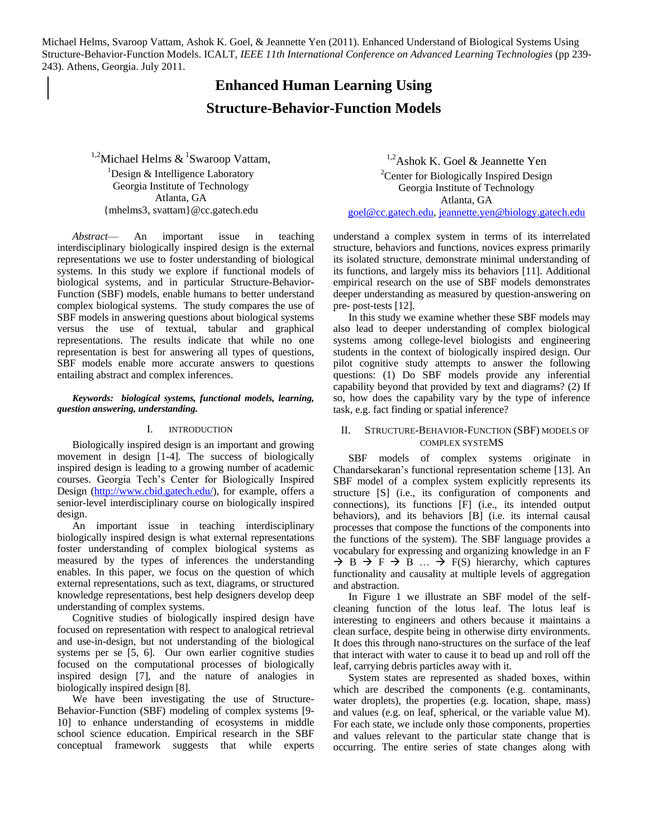Michael Helms, Svaroop Vattam, Ashok K. Goel, & Jeannette Yen (2011). Enhanced Understand of Biological Systems Using Structure-Behavior-Function Models. ICALT, *IEEE 11th International Conference on Advanced Learning Technologies* (pp 239- 243). Athens, Georgia. July 2011.

# **Enhanced Human Learning Using Structure-Behavior-Function Models**

<sup>1,2</sup>Michael Helms  $\&$  <sup>1</sup>Swaroop Vattam,  ${}^{1}$ Design & Intelligence Laboratory Georgia Institute of Technology Atlanta, GA {mhelms3, svattam}@cc.gatech.edu

*Abstract*— An important issue in teaching interdisciplinary biologically inspired design is the external representations we use to foster understanding of biological systems. In this study we explore if functional models of biological systems, and in particular Structure-Behavior-Function (SBF) models, enable humans to better understand complex biological systems. The study compares the use of SBF models in answering questions about biological systems versus the use of textual, tabular and graphical representations. The results indicate that while no one representation is best for answering all types of questions, SBF models enable more accurate answers to questions entailing abstract and complex inferences.

## *Keywords: biological systems, functional models, learning, question answering, understanding.*

## I. INTRODUCTION

Biologically inspired design is an important and growing movement in design [1-4]. The success of biologically inspired design is leading to a growing number of academic courses. Georgia Tech's Center for Biologically Inspired Design [\(http://www.cbid.gatech.edu/\)](http://www.cbid.gatech.edu/), for example, offers a senior-level interdisciplinary course on biologically inspired design.

An important issue in teaching interdisciplinary biologically inspired design is what external representations foster understanding of complex biological systems as measured by the types of inferences the understanding enables. In this paper, we focus on the question of which external representations, such as text, diagrams, or structured knowledge representations, best help designers develop deep understanding of complex systems.

Cognitive studies of biologically inspired design have focused on representation with respect to analogical retrieval and use-in-design, but not understanding of the biological systems per se [5, 6]. Our own earlier cognitive studies focused on the computational processes of biologically inspired design [7], and the nature of analogies in biologically inspired design [8].

We have been investigating the use of Structure-Behavior-Function (SBF) modeling of complex systems [9- 10] to enhance understanding of ecosystems in middle school science education. Empirical research in the SBF conceptual framework suggests that while experts

<sup>1,2</sup>Ashok K. Goel & Jeannette Yen <sup>2</sup>Center for Biologically Inspired Design Georgia Institute of Technology Atlanta, GA [goel@cc.gatech.edu,](mailto:goel@cc.gatech.edu) [jeannette.yen@biology.gatech.edu](mailto:jeannette.yen@biology.gatech.edu)

understand a complex system in terms of its interrelated structure, behaviors and functions, novices express primarily its isolated structure, demonstrate minimal understanding of its functions, and largely miss its behaviors [11]. Additional empirical research on the use of SBF models demonstrates deeper understanding as measured by question-answering on pre- post-tests [12].

In this study we examine whether these SBF models may also lead to deeper understanding of complex biological systems among college-level biologists and engineering students in the context of biologically inspired design. Our pilot cognitive study attempts to answer the following questions: (1) Do SBF models provide any inferential capability beyond that provided by text and diagrams? (2) If so, how does the capability vary by the type of inference task, e.g. fact finding or spatial inference?

# II. STRUCTURE-BEHAVIOR-FUNCTION (SBF) MODELS OF COMPLEX SYSTEMS

SBF models of complex systems originate in Chandarsekaran's functional representation scheme [13]. An SBF model of a complex system explicitly represents its structure [S] (i.e., its configuration of components and connections), its functions [F] (i.e., its intended output behaviors), and its behaviors [B] (i.e. its internal causal processes that compose the functions of the components into the functions of the system). The SBF language provides a vocabulary for expressing and organizing knowledge in an F  $\rightarrow$  B  $\rightarrow$  F  $\rightarrow$  B  $\ldots$   $\rightarrow$  F(S) hierarchy, which captures functionality and causality at multiple levels of aggregation and abstraction.

In Figure 1 we illustrate an SBF model of the selfcleaning function of the lotus leaf. The lotus leaf is interesting to engineers and others because it maintains a clean surface, despite being in otherwise dirty environments. It does this through nano-structures on the surface of the leaf that interact with water to cause it to bead up and roll off the leaf, carrying debris particles away with it.

System states are represented as shaded boxes, within which are described the components (e.g. contaminants, water droplets), the properties (e.g. location, shape, mass) and values (e.g. on leaf, spherical, or the variable value M). For each state, we include only those components, properties and values relevant to the particular state change that is occurring. The entire series of state changes along with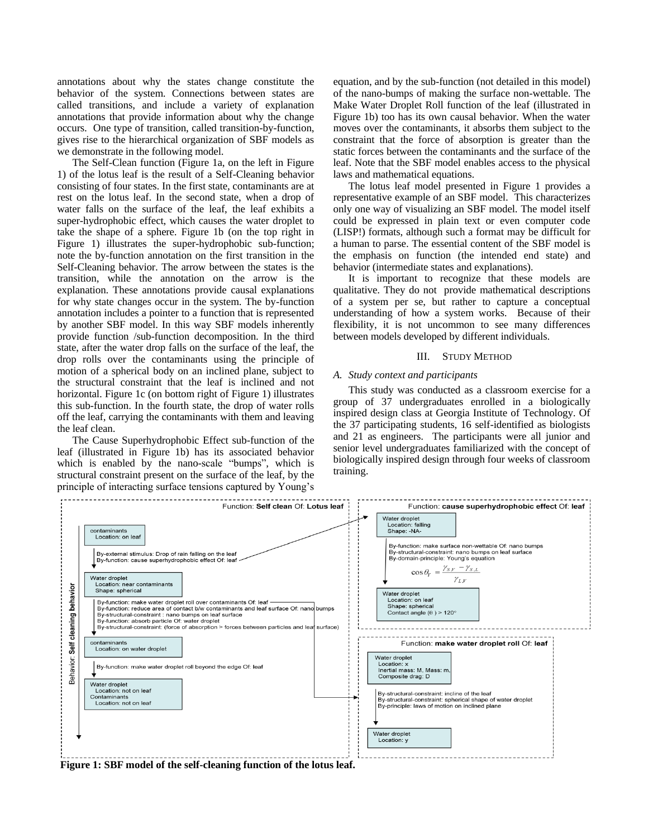annotations about why the states change constitute the behavior of the system. Connections between states are called transitions, and include a variety of explanation annotations that provide information about why the change occurs. One type of transition, called transition-by-function, gives rise to the hierarchical organization of SBF models as we demonstrate in the following model.

The Self-Clean function (Figure 1a, on the left in Figure 1) of the lotus leaf is the result of a Self-Cleaning behavior consisting of four states. In the first state, contaminants are at rest on the lotus leaf. In the second state, when a drop of water falls on the surface of the leaf, the leaf exhibits a super-hydrophobic effect, which causes the water droplet to take the shape of a sphere. Figure 1b (on the top right in Figure 1) illustrates the super-hydrophobic sub-function; note the by-function annotation on the first transition in the Self-Cleaning behavior. The arrow between the states is the transition, while the annotation on the arrow is the explanation. These annotations provide causal explanations for why state changes occur in the system. The by-function annotation includes a pointer to a function that is represented by another SBF model. In this way SBF models inherently provide function /sub-function decomposition. In the third state, after the water drop falls on the surface of the leaf, the drop rolls over the contaminants using the principle of motion of a spherical body on an inclined plane, subject to the structural constraint that the leaf is inclined and not horizontal. Figure 1c (on bottom right of Figure 1) illustrates this sub-function. In the fourth state, the drop of water rolls off the leaf, carrying the contaminants with them and leaving the leaf clean.

The Cause Superhydrophobic Effect sub-function of the leaf (illustrated in Figure 1b) has its associated behavior which is enabled by the nano-scale "bumps", which is structural constraint present on the surface of the leaf, by the principle of interacting surface tensions captured by Young's equation, and by the sub-function (not detailed in this model) of the nano-bumps of making the surface non-wettable. The Make Water Droplet Roll function of the leaf (illustrated in Figure 1b) too has its own causal behavior. When the water moves over the contaminants, it absorbs them subject to the constraint that the force of absorption is greater than the static forces between the contaminants and the surface of the leaf. Note that the SBF model enables access to the physical laws and mathematical equations.

The lotus leaf model presented in Figure 1 provides a representative example of an SBF model. This characterizes only one way of visualizing an SBF model. The model itself could be expressed in plain text or even computer code (LISP!) formats, although such a format may be difficult for a human to parse. The essential content of the SBF model is the emphasis on function (the intended end state) and behavior (intermediate states and explanations).

It is important to recognize that these models are qualitative. They do not provide mathematical descriptions of a system per se, but rather to capture a conceptual understanding of how a system works. Because of their flexibility, it is not uncommon to see many differences between models developed by different individuals.

#### III. STUDY METHOD

# *A. Study context and participants*

This study was conducted as a classroom exercise for a group of 37 undergraduates enrolled in a biologically inspired design class at Georgia Institute of Technology. Of the 37 participating students, 16 self-identified as biologists and 21 as engineers. The participants were all junior and senior level undergraduates familiarized with the concept of biologically inspired design through four weeks of classroom training.



**Figure 1: SBF model of the self-cleaning function of the lotus leaf.**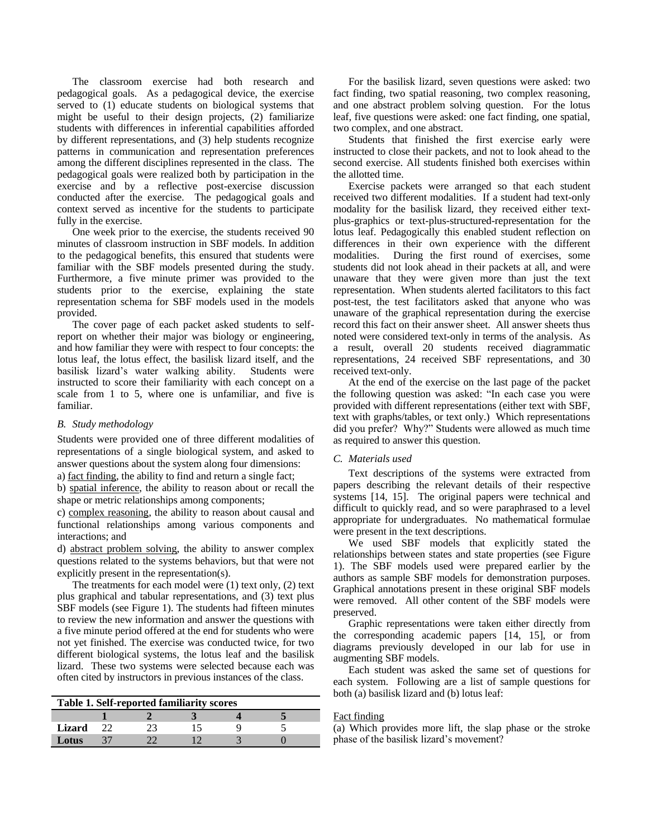The classroom exercise had both research and pedagogical goals. As a pedagogical device, the exercise served to (1) educate students on biological systems that might be useful to their design projects, (2) familiarize students with differences in inferential capabilities afforded by different representations, and (3) help students recognize patterns in communication and representation preferences among the different disciplines represented in the class. The pedagogical goals were realized both by participation in the exercise and by a reflective post-exercise discussion conducted after the exercise. The pedagogical goals and context served as incentive for the students to participate fully in the exercise.

One week prior to the exercise, the students received 90 minutes of classroom instruction in SBF models. In addition to the pedagogical benefits, this ensured that students were familiar with the SBF models presented during the study. Furthermore, a five minute primer was provided to the students prior to the exercise, explaining the state representation schema for SBF models used in the models provided.

The cover page of each packet asked students to selfreport on whether their major was biology or engineering, and how familiar they were with respect to four concepts: the lotus leaf, the lotus effect, the basilisk lizard itself, and the basilisk lizard's water walking ability. Students were instructed to score their familiarity with each concept on a scale from 1 to 5, where one is unfamiliar, and five is familiar.

### *B. Study methodology*

Students were provided one of three different modalities of representations of a single biological system, and asked to answer questions about the system along four dimensions:

a) fact finding, the ability to find and return a single fact;

b) spatial inference, the ability to reason about or recall the shape or metric relationships among components;

c) complex reasoning, the ability to reason about causal and functional relationships among various components and interactions; and

d) abstract problem solving, the ability to answer complex questions related to the systems behaviors, but that were not explicitly present in the representation(s).

The treatments for each model were (1) text only, (2) text plus graphical and tabular representations, and (3) text plus SBF models (see Figure 1). The students had fifteen minutes to review the new information and answer the questions with a five minute period offered at the end for students who were not yet finished. The exercise was conducted twice, for two different biological systems, the lotus leaf and the basilisk lizard. These two systems were selected because each was often cited by instructors in previous instances of the class.

| Table 1. Self-reported familiarity scores |  |  |  |  |  |  |
|-------------------------------------------|--|--|--|--|--|--|
|                                           |  |  |  |  |  |  |
| <b>Lizard</b>                             |  |  |  |  |  |  |
| Lotus                                     |  |  |  |  |  |  |

For the basilisk lizard, seven questions were asked: two fact finding, two spatial reasoning, two complex reasoning, and one abstract problem solving question. For the lotus leaf, five questions were asked: one fact finding, one spatial, two complex, and one abstract.

Students that finished the first exercise early were instructed to close their packets, and not to look ahead to the second exercise. All students finished both exercises within the allotted time.

Exercise packets were arranged so that each student received two different modalities. If a student had text-only modality for the basilisk lizard, they received either textplus-graphics or text-plus-structured-representation for the lotus leaf. Pedagogically this enabled student reflection on differences in their own experience with the different modalities. During the first round of exercises, some students did not look ahead in their packets at all, and were unaware that they were given more than just the text representation. When students alerted facilitators to this fact post-test, the test facilitators asked that anyone who was unaware of the graphical representation during the exercise record this fact on their answer sheet. All answer sheets thus noted were considered text-only in terms of the analysis. As a result, overall 20 students received diagrammatic representations, 24 received SBF representations, and 30 received text-only.

At the end of the exercise on the last page of the packet the following question was asked: "In each case you were provided with different representations (either text with SBF, text with graphs/tables, or text only.) Which representations did you prefer? Why?" Students were allowed as much time as required to answer this question.

# *C. Materials used*

Text descriptions of the systems were extracted from papers describing the relevant details of their respective systems [14, 15]. The original papers were technical and difficult to quickly read, and so were paraphrased to a level appropriate for undergraduates. No mathematical formulae were present in the text descriptions.

We used SBF models that explicitly stated the relationships between states and state properties (see Figure 1). The SBF models used were prepared earlier by the authors as sample SBF models for demonstration purposes. Graphical annotations present in these original SBF models were removed. All other content of the SBF models were preserved.

Graphic representations were taken either directly from the corresponding academic papers [14, 15], or from diagrams previously developed in our lab for use in augmenting SBF models.

Each student was asked the same set of questions for each system. Following are a list of sample questions for both (a) basilisk lizard and (b) lotus leaf:

### Fact finding

(a) Which provides more lift, the slap phase or the stroke phase of the basilisk lizard's movement?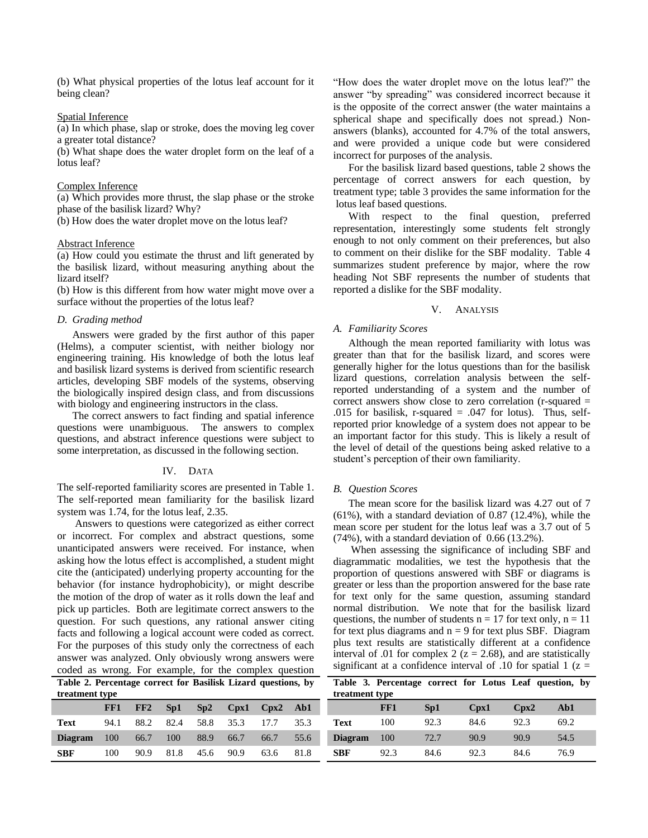(b) What physical properties of the lotus leaf account for it being clean?

## Spatial Inference

(a) In which phase, slap or stroke, does the moving leg cover a greater total distance?

(b) What shape does the water droplet form on the leaf of a lotus leaf?

### Complex Inference

(a) Which provides more thrust, the slap phase or the stroke phase of the basilisk lizard? Why?

(b) How does the water droplet move on the lotus leaf?

#### Abstract Inference

(a) How could you estimate the thrust and lift generated by the basilisk lizard, without measuring anything about the lizard itself?

(b) How is this different from how water might move over a surface without the properties of the lotus leaf?

#### *D. Grading method*

Answers were graded by the first author of this paper (Helms), a computer scientist, with neither biology nor engineering training. His knowledge of both the lotus leaf and basilisk lizard systems is derived from scientific research articles, developing SBF models of the systems, observing the biologically inspired design class, and from discussions with biology and engineering instructors in the class.

The correct answers to fact finding and spatial inference questions were unambiguous. The answers to complex questions, and abstract inference questions were subject to some interpretation, as discussed in the following section.

## IV. DATA

The self-reported familiarity scores are presented in Table 1. The self-reported mean familiarity for the basilisk lizard system was 1.74, for the lotus leaf, 2.35.

Answers to questions were categorized as either correct or incorrect. For complex and abstract questions, some unanticipated answers were received. For instance, when asking how the lotus effect is accomplished, a student might cite the (anticipated) underlying property accounting for the behavior (for instance hydrophobicity), or might describe the motion of the drop of water as it rolls down the leaf and pick up particles. Both are legitimate correct answers to the question. For such questions, any rational answer citing facts and following a logical account were coded as correct. For the purposes of this study only the correctness of each answer was analyzed. Only obviously wrong answers were coded as wrong. For example, for the complex question

**Table 2. Percentage correct for Basilisk Lizard questions, by treatment type**

|                               | FF1  | FF2  | Sp1       | Sp2  | $Cpx1$ $Cpx2$ Ab1 |      |      |
|-------------------------------|------|------|-----------|------|-------------------|------|------|
| <b>Text</b>                   | 94.1 |      | 88.2 82.4 |      | 58.8 35.3 17.7    |      | 35.3 |
| <b>Diagram</b> $100$ 66.7 100 |      |      |           | 88.9 | 66.7              | 66.7 | 55.6 |
| <b>SBF</b>                    | 100  | 90.9 | 81.8      | 45.6 | 90.9              | 63.6 | 81.8 |

"How does the water droplet move on the lotus leaf?" the answer "by spreading" was considered incorrect because it is the opposite of the correct answer (the water maintains a spherical shape and specifically does not spread.) Nonanswers (blanks), accounted for 4.7% of the total answers, and were provided a unique code but were considered incorrect for purposes of the analysis.

For the basilisk lizard based questions, table 2 shows the percentage of correct answers for each question, by treatment type; table 3 provides the same information for the lotus leaf based questions.

With respect to the final question, preferred representation, interestingly some students felt strongly enough to not only comment on their preferences, but also to comment on their dislike for the SBF modality. Table 4 summarizes student preference by major, where the row heading Not SBF represents the number of students that reported a dislike for the SBF modality.

## V. ANALYSIS

#### *A. Familiarity Scores*

Although the mean reported familiarity with lotus was greater than that for the basilisk lizard, and scores were generally higher for the lotus questions than for the basilisk lizard questions, correlation analysis between the selfreported understanding of a system and the number of correct answers show close to zero correlation (r-squared = .015 for basilisk, r-squared  $= .047$  for lotus). Thus, selfreported prior knowledge of a system does not appear to be an important factor for this study. This is likely a result of the level of detail of the questions being asked relative to a student's perception of their own familiarity.

#### *B. Question Scores*

The mean score for the basilisk lizard was 4.27 out of 7 (61%), with a standard deviation of 0.87 (12.4%), while the mean score per student for the lotus leaf was a 3.7 out of 5 (74%), with a standard deviation of 0.66 (13.2%).

When assessing the significance of including SBF and diagrammatic modalities, we test the hypothesis that the proportion of questions answered with SBF or diagrams is greater or less than the proportion answered for the base rate for text only for the same question, assuming standard normal distribution. We note that for the basilisk lizard questions, the number of students  $n = 17$  for text only,  $n = 11$ for text plus diagrams and  $n = 9$  for text plus SBF. Diagram plus text results are statistically different at a confidence interval of .01 for complex 2 ( $z = 2.68$ ), and are statistically significant at a confidence interval of .10 for spatial 1 ( $z =$ 

**Table 3. Percentage correct for Lotus Leaf question, by treatment type**

| u caunche cype |      |      |      |      |      |  |  |
|----------------|------|------|------|------|------|--|--|
|                | FF1  | Sp1  | Cpx1 | Cpx2 | Ab1  |  |  |
| Text           | 100  | 92.3 | 84.6 | 92.3 | 69.2 |  |  |
| <b>Diagram</b> | 100  | 72.7 | 90.9 | 90.9 | 54.5 |  |  |
| <b>SBF</b>     | 92.3 | 84.6 | 92.3 | 84.6 | 76.9 |  |  |